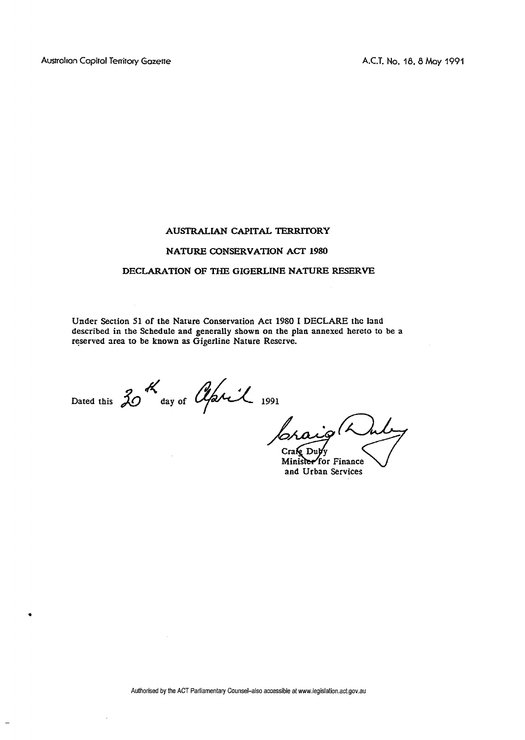## **AUSTRALIAN CAPITAL 'IERRITORY**

## **NATURE CONSERVATION ACT 1980**

## **DECLARATION OF THE GIGERLLNE NATURE RESERVE**

**Under Section 51 of the Narure Conservation Act 1980 I DECLARE the land described in the Schedule and generally shown on the plan annexed hereto to be a reserved area to be known as Gigerline Nature Reserve.** 

Dated this  $30^{4}$  day of *April* 1991

ັDub∕v Craf

Minister for Finance<br>and Urban Services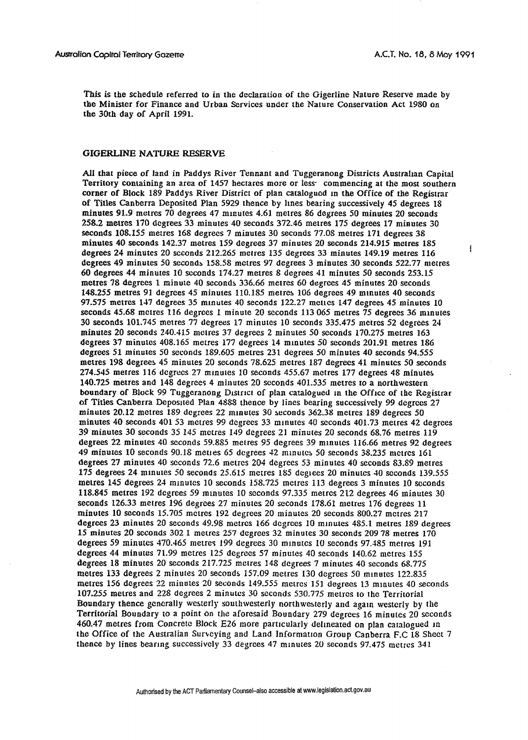$\mathbf{I}$ 

This is the schedule referred to in the declaration of the Gigerline Nature Reserve made by the Minister for Finance and Urban Services under the Nature Conservation Act 1980 on the 30th day of April 1991.

## GIGERLINE NATURE RESERVE

All that piece of land in Paddys River Tennant and Tuggeranong Districts Australian Capital Territory containing an area of 1457 hectares more or less commencing at the most southern corner of Block 189 Paddys River District of plan catalogued in the Office of the Registrar of Titles Canberra Deposited Plan 5929 thence by lines bearing successively 45 degrees 18 minutes 91.9 metres 70 degrees 47 minutes 4.61 metres 86 degrees 50 minutes 20 seconds 258.2 metres 170 degrees 33 minutes 40 seconds 372.46 metres 175 degrees 17 minutes 30 seconds 108.155 metres 168 degrees 7 minutes 30 seconds 77.08 metres 171 degrees 38 minutes 40 seconds 142.37 metres 159 degrees 37 minutes 20 seconds 214.915 metres 185 degrees 24 minutes 20 seconds 212.265 metres 135 degrees 33 minutes 149.19 metres 116 degrees 49 minutes 50 seconds 158.58 metres 97 degrees 3 minutes 30 seconds 522.77 metres 60 degrees 44 minutes 10 seconds 174.27 metres 8 degrees 41 minutes 50 seconds 253.15 metres 78 degrees 1 minute 40 seconds 336.66 metres 60 degrees 45 minutes 20 seconds 148.255 metres 91 degrees 45 minutes 110.185 metres 106 degrees 49 minutes 40 seconds 97.575 metres 147 degrees 35 minutes 40 seconds 122.27 metres 147 degrees 45 minutes 10 seconds 45.68 metres 116 degrees 1 minute 20 seconds 113 065 metres  $75$  degrees 36 minutes 30 seconds 101.745 metres 77 degrees 17 minutes 10 seconds 335.475 metres 52 degrees 24 minutes 20 seconds 240.415 metres 37 degrees 2 minutes 50 seconds 170.275 metres 163 degrees 37 minutes 408.165 metres 177 degrees 14 minutes 50 seconds 201.91 metres 186 degrees 51 minutes 50 seconds 189.605 metres 231 degrees 50 minutes 40 seconds 94.555 metres 198 degrees 45 minutes 20 seconds 78.625 metres 187 degrees 41 minutes 50 seconds 274.545 metres 116 degrees 27 minutes 10 seconds 455.67 metres 177 degrees 48 minutes 140.725 metres and 148 degrees 4 minutes 20 seconds 401.535 metres to a northwestern boundary of Block 99 Tuggeranong District of plan catalogued in the Office of the Registrar of Titles Canberra Deposited Plan 4888 thence by lines bearing successively 99 degrees 27 minutes 20.12 metres 189 degrees 22 minutes 30 seconds 362.38 metres 189 degrees 50 minutes 40 seconds 401 53 metres 99 degrees 33 minutes 40 seconds 401.73 metres 42 degrees 39 minutes 30 seconds 35 145 metres 149 degrees 21 minutes 20 seconds 68.76 metres 119 degrees 22 minutes 40 seconds 59.885 metres 95 degrees 39 minutes 116.66 metres 92 degrees 49 minutes 10 seconds 90.18 mettes 65 degrees 42 minutes 50 seconds 38.235 metres 161 degrees 27 minutes 40 seconds 72.6 metres 204 degrees 53 minutes 40 seconds 83.89 metres 175 degrees 24 minutes 50 seconds 25.615 metres 185 degrees 20 minutes 40 seconds 139.555 metres 145 degrees 24 minutes 10 seconds 158.725 metres 113 degrees 3 minutes 10 seconds 118.845 metres 192 degrees 59 minutes 10 seconds 97.335 metres 212 degrees 46 minutes 30 seconds 126.33 metres 196 degrees 27 minutes 20 seconds 178.61 metres 176 degrees 11 minutes 10 seconds 15.705 metres 192 degrees 20 minutes 20 seconds 800.27 metres 217 degrees 23 minutes 20 seconds 49.98 metres 166 degrees 10 minutes 485.1 metres 189 degrees 15 minutes 20 seconds 302 1 metres 257 degrees 32 minutes 30 seconds 209 78 metres 170 degrees 59 minutes 470.465 metres 199 degrees 30 minutes 10 seconds 97.485 metres 191 degrees 44 minutes 71.99 metres 125 degrees 57 minutes 40 seconds 140.62 metres 155 degrees 18 minutes 20 seconds 217.725 metres 148 degrees 7 minutes 40 seconds 68.775 metres 133 degrees 2 minutes 20 seconds 157.09 metres 130 degrees 50 minutes 122.835 metres 156 degrees 22 minutes 20 seconds 149.555 metres 151 degrees 13 minutes 40 seconds 107.255 metres and 228 degrees 2 minutes 30 seconds 530.775 metres to the Territorial Boundary thence generally westerly southwesterly northwesterly and again westerly by the Territorial Boundary to a point on the aforesaid Boundary 279 degrees 16 minutes 20 seconds 460.47 metres from Concrete Block E26 more particularly delineated on plan catalogued in the Office of the Australian Surveying and Land Information Group Canberra F.C 18 Sheet 7 thence by lines bearing successively 33 degrees 47 minutes 20 seconds 97.475 metres 341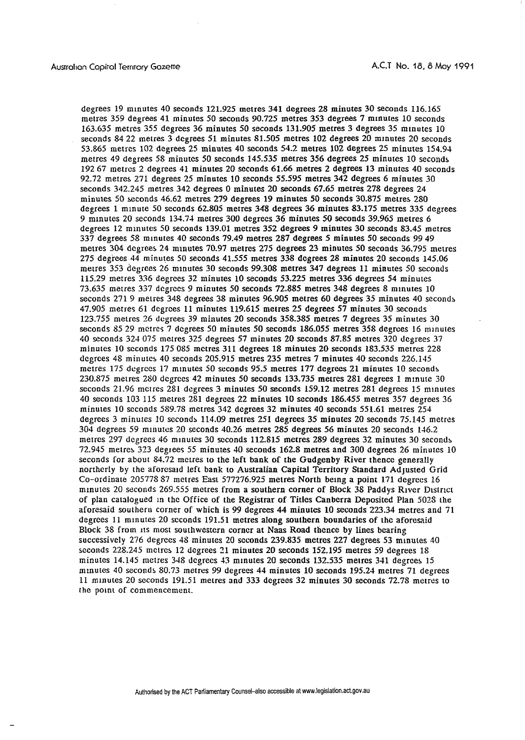degrees 19 minutes 40 seconds 121.925 metres 341 degrees 28 minutes 30 seconds 116.165 metres 359 degrees 41 minutes 50 seconds 90.725 metres 353 degrees 7 minutes 10 seconds 163.635 metres 355 degrees 36 minutes 50 seconds 131.905 metres 3 degrees 35 minutes 10 seconds 84 22 metres 3 degrees 51 minutes 81.505 metres 102 degrees 20 minutes 20 seconds 53.865 metros 102 degrees 25 minutes 40 seconds 54.2 metres 102 degrees 25 minutes 154.94 metres 49 degrees 58 minutes 50 seconds 145.535 metres 356 degrees 25 minutes 10 seconds 192 67 metros 2 degrees 41 minutes 20 seconds 61.66 metres 2 degrees 13 minutes 40 seconds 92.72 metres 271 degrees 25 minutes 10 seconds 55.595 metres 342 degrees 6 minutes 30 seconds 342.245 metres 342 degrees 0 minutes 20 seconds 67.65 metres 278 degrees 24 minutes 50 seconds 46.62 metres 279 degrees 19 minutes 50 seconds 30.875 metres 280 degrees 1 minute 50 seconds 62.805 metres 348 degrees 36 minutes 83.175 metres 335 degrees 9 minutes 20 seconds 134.74 metres 300 degrees 36 minutes 50 seconds 39.965 metres 6 degrees 12 minutes 50 seconds 139.01 metres 352 degrees 9 minutes 30 seconds 83.45 metres 337 degrees 58 minutes 40 seconds 79.49 metres 287 degrees 5 minutes 50 seconds 99 49 metres 304 degrees 24 minutes 70.97 metres 275 degrees 23 minutes 50 seconds 36.795 metres 275 degrees 44 minutes 50 seconds 41.555 metres 338 degrees 28 minutes 20 seconds 145.06 metres 353 degrees 26 minutes 30 seconds 99.308 metres 347 degrees 11 minutes 50 seconds 115.29 metres 336 degrees 32 minutes 10 seconds 53.225 metres 336 degrees 54 minutes 73.635 metres 337 degrees 9 minutes 50 seconds 72.885 metres 348 degrees 8 minutes 10 seconds 271 9 metres 348 degrees 38 minutes 96.905 metres 60 degrees 35 minutes 40 seconds 47.905 metres 61 degrees 11 minutes 119.615 metres 25 degrees 57 minutes 30 seconds 123.755 metres 26 degrees 39 minutes 20 seconds 358.385 metres 7 degrees 35 minutes 30 seconds 85 29 metres 7 degrees 50 minutes 50 seconds 186.055 metres 358 degrees 16 minutes 40 seconds 324 075 metres 325 degrees 57 minutes 20 seconds 87.85 metres 320 degrees 37 minutes 10 seconds 175 085 metres 311 degrees 18 minutes 20 seconds 183.535 metres 228 degrees 48 minutes 40 seconds 205.915 metres 235 metres 7 minutes 40 seconds 226.145 metres 175 degrees 17 minutes 50 seconds 95.5 metres 177 degrees 21 minutes 10 seconds 230.875 metres 280 degrees 42 minutes 50 seconds 133.735 metres 281 degrees 1 minute 30 seconds 21.96 metres 281 degrees 3 minutes 50 seconds 159.12 metres 281 degrees 15 minutes 40 seconds 103 115 metres 281 degrees 22 minutes 10 seconds 186.455 metres 357 degrees 36 minutes 10 seconds 589.78 metres 342 degrees 32 minutes 40 seconds 551.61 metres 254 degrees 3 minutes 10 seconds 114.09 metres 251 degrees 35 minutes 20 seconds 75.145 metres 304 degrees 59 minutes 20 seconds 40.26 metres 285 degrees 56 minutes 20 seconds 146.2 metres 297 degrees 46 minutes 30 seconds 112.815 metres 289 degrees 32 minutes 30 seconds 72.945 metres 323 degrees 55 minutes 40 seconds 162.8 metres and 300 degrees 26 minutes 10 seconds for about 84.72 metres to the left bank of the Gudgenby River thence generally northerly by the aforesaid left bank to Australian Capital Territory Standard Adjusted Grid Co-ordinate 205778 87 metres East 577276.925 metres North being a point 171 degrees 16 minutes 20 seconds 269.555 metres from a southern corner of Block 38 Paddys River District of plan catalogued in the Office of the Registrar of Titles Canberra Deposited Plan 5028 the aforesaid southern corner of which is 99 degrees 44 minutes 10 seconds 223.34 metres and 71 degrees 11 minutes 20 seconds 191.51 metres along southern boundaries of the aforesaid Block 38 from its most southwestern corner at Naas Road thence by lines bearing successively 276 degrees 48 minutes 20 seconds 239.835 metres 227 degrees 53 minutes 40 seconds 228.245 metres 12 degrees 21 minutes 20 seconds 152.195 metres 59 degrees 18 minutes 14.145 metres 348 degrees 43 minutes 20 seconds 132.535 metres 341 degrees 15 minutes 40 seconds 80.73 metres 99 degrees 44 minutes 10 seconds 195.24 metres 71 degrees 11 minutes 20 seconds 191.51 metres and 333 degrees 32 minutes 30 seconds 72.78 metres to the point of commencement.